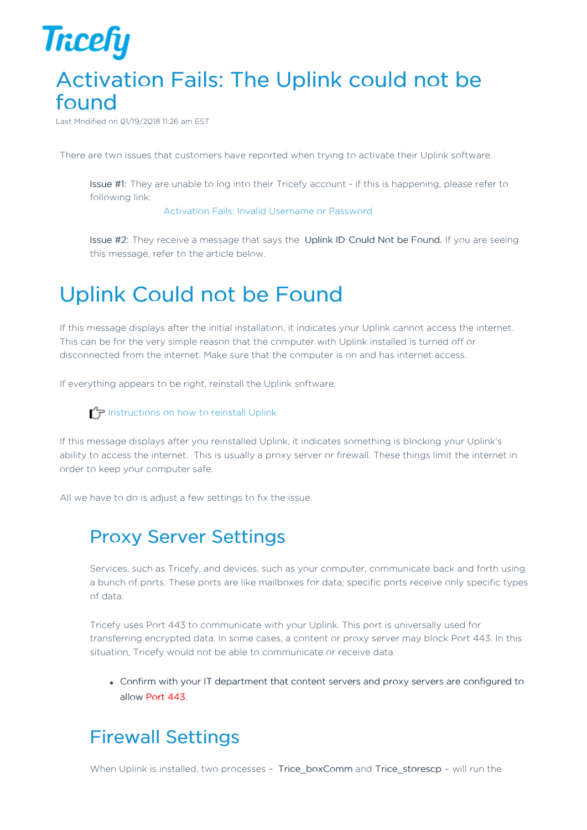

## Activation Fails: The Uplink could not be found

Last Modified on 01/19/2018 11:26 am EST

There are two issues that customers have reported when trying to activate their Uplink software.

Issue #1: They are unable to log into their Tricefy account - if this is happening, please refer to following link:

Activation Fails: Invalid Username or Password

Issue #2: They receive a message that says the Uplink ID Could Not be Found. If you are seeing this message, refer to the article below.

## Uplink Could not be Found

If this message displays after the initial installation, it indicates your Uplink cannot access the internet. This can be for the very simple reason that the computer with Uplink installed is turned off or disconnected from the internet. Make sure that the computer is on and has internet access.

If everything appears to be right, reinstall the Uplink software.

**I** Instructions on how to reinstall Uplink

If this message displays after you reinstalled Uplink, it indicates something is blocking your Uplink's ability to access the internet. This is usually a proxy server or firewall. These things limit the internet in order to keep your computer safe.

All we have to do is adjust a few settings to fix the issue.

## Proxy Server Settings

Services, such as Tricefy, and devices, such as your computer, communicate back and forth using a bunch of ports. These ports are like mailboxes for data; specific ports receive only specific types of data.

Tricefy uses Port 443 to communicate with your Uplink. This port is universally used for transferring encrypted data. In some cases, a content or proxy server may block Port 443. In this situation, Tricefy would not be able to communicate or receive data.

Confirm with your IT department that content servers and proxy servers are configured to allow Port 443.

## Firewall Settings

When Uplink is installed, two processes - Trice\_boxComm and Trice\_storescp - will run the